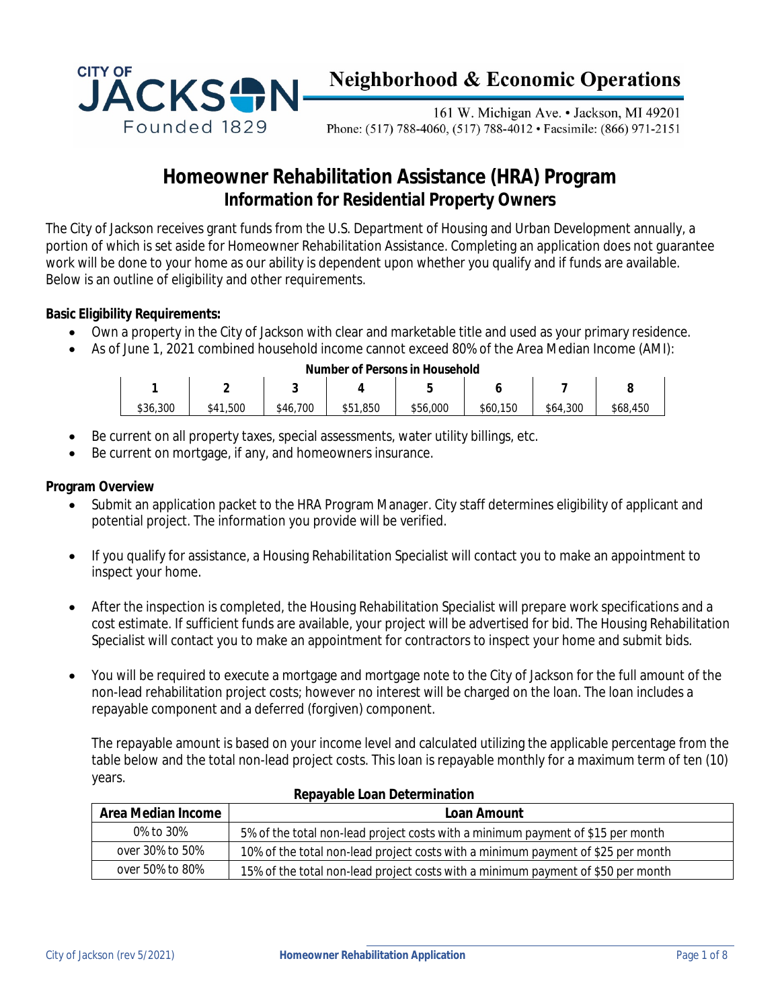

# **Neighborhood & Economic Operations**

161 W. Michigan Ave. • Jackson, MI 49201 Phone: (517) 788-4060, (517) 788-4012 • Facsimile: (866) 971-2151

# **Homeowner Rehabilitation Assistance (HRA) Program Information for Residential Property Owners**

The City of Jackson receives grant funds from the U.S. Department of Housing and Urban Development annually, a portion of which is set aside for Homeowner Rehabilitation Assistance. Completing an application does not guarantee work will be done to your home as our ability is dependent upon whether you qualify and if funds are available. Below is an outline of eligibility and other requirements.

#### **Basic Eligibility Requirements:**

- Own a property in the City of Jackson with clear and marketable title and used as your primary residence.
- As of June 1, 2021 combined household income cannot exceed 80% of the Area Median Income (AMI):

| Number of Persons in Household |          |          |          |          |          |          |          |  |  |
|--------------------------------|----------|----------|----------|----------|----------|----------|----------|--|--|
|                                | c<br>-   |          |          |          |          |          |          |  |  |
| \$36,300                       | \$41,500 | \$46,700 | \$51,850 | \$56,000 | \$60,150 | \$64,300 | \$68,450 |  |  |

- Be current on all property taxes, special assessments, water utility billings, etc.
- Be current on mortgage, if any, and homeowners insurance.

#### **Program Overview**

- Submit an application packet to the HRA Program Manager. City staff determines eligibility of applicant and potential project. The information you provide will be verified.
- If you qualify for assistance, a Housing Rehabilitation Specialist will contact you to make an appointment to inspect your home.
- After the inspection is completed, the Housing Rehabilitation Specialist will prepare work specifications and a cost estimate. If sufficient funds are available, your project will be advertised for bid. The Housing Rehabilitation Specialist will contact you to make an appointment for contractors to inspect your home and submit bids.
- You will be required to execute a mortgage and mortgage note to the City of Jackson for the full amount of the non-lead rehabilitation project costs; however no interest will be charged on the loan. The loan includes a repayable component and a deferred (forgiven) component.

The repayable amount is based on your income level and calculated utilizing the applicable percentage from the table below and the total non-lead project costs. This loan is repayable monthly for a maximum term of ten (10) years.

| Area Median Income | Loan Amount                                                                      |
|--------------------|----------------------------------------------------------------------------------|
| 0% to 30%          | 5% of the total non-lead project costs with a minimum payment of \$15 per month  |
| over 30% to 50%    | 10% of the total non-lead project costs with a minimum payment of \$25 per month |
| over 50% to 80%    | 15% of the total non-lead project costs with a minimum payment of \$50 per month |

#### **Repayable Loan Determination**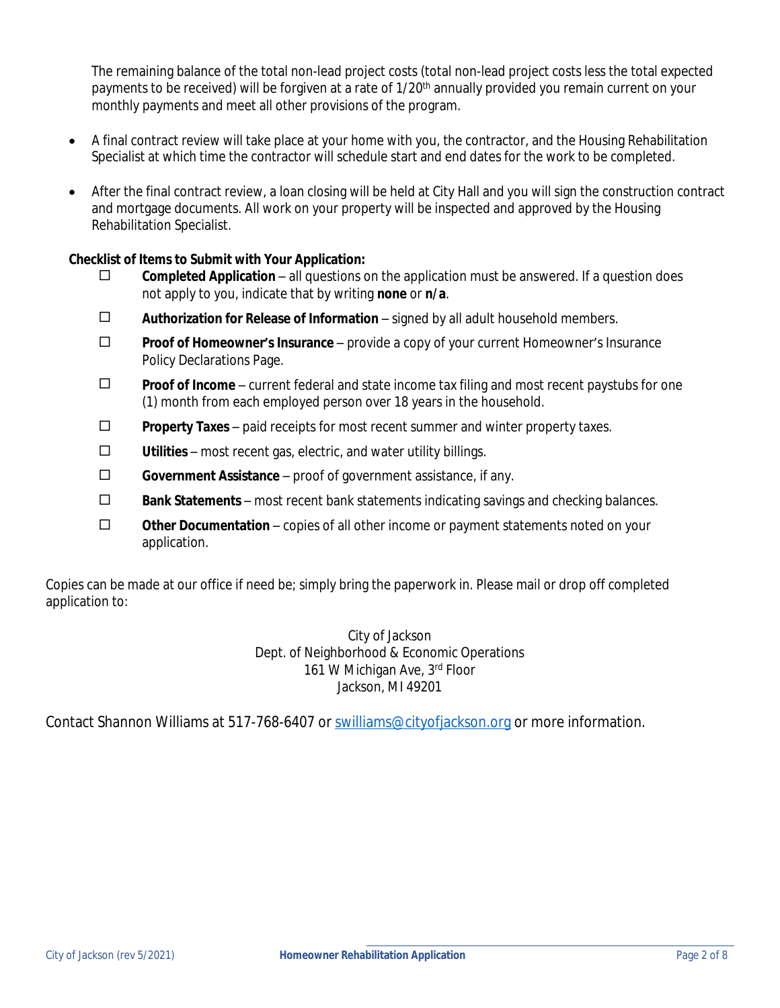The remaining balance of the total non-lead project costs (total non-lead project costs less the total expected payments to be received) will be forgiven at a rate of  $1/20<sup>th</sup>$  annually provided you remain current on your monthly payments and meet all other provisions of the program.

- A final contract review will take place at your home with you, the contractor, and the Housing Rehabilitation Specialist at which time the contractor will schedule start and end dates for the work to be completed.
- After the final contract review, a loan closing will be held at City Hall and you will sign the construction contract and mortgage documents. All work on your property will be inspected and approved by the Housing Rehabilitation Specialist.

#### **Checklist of Items to Submit with Your Application:**

- $\square$  **Completed Application** all questions on the application must be answered. If a question does not apply to you, indicate that by writing **none** or **n/a**.
- ¨ **Authorization for Release of Information** signed by all adult household members.
- ¨ **Proof of Homeowner's Insurance** provide a copy of your current Homeowner's Insurance Policy Declarations Page.
- ¨ **Proof of Income** current federal and state income tax filing and most recent paystubs for one (1) month from each employed person over 18 years in the household.
- ¨ **Property Taxes** paid receipts for most recent summer and winter property taxes.
- $\square$  **Utilities** most recent gas, electric, and water utility billings.
- ¨ **Government Assistance** proof of government assistance, if any.
- $\Box$  **Bank Statements** most recent bank statements indicating savings and checking balances.
- ¨ **Other Documentation** copies of all other income or payment statements noted on your application.

Copies can be made at our office if need be; simply bring the paperwork in. Please mail or drop off completed application to:

> City of Jackson Dept. of Neighborhood & Economic Operations 161 W Michigan Ave, 3rd Floor Jackson, MI 49201

Contact Shannon Williams at 517-768-6407 or [swilliams@cityofjackson.org](mailto:swilliams@cityofjackson.org) or more information.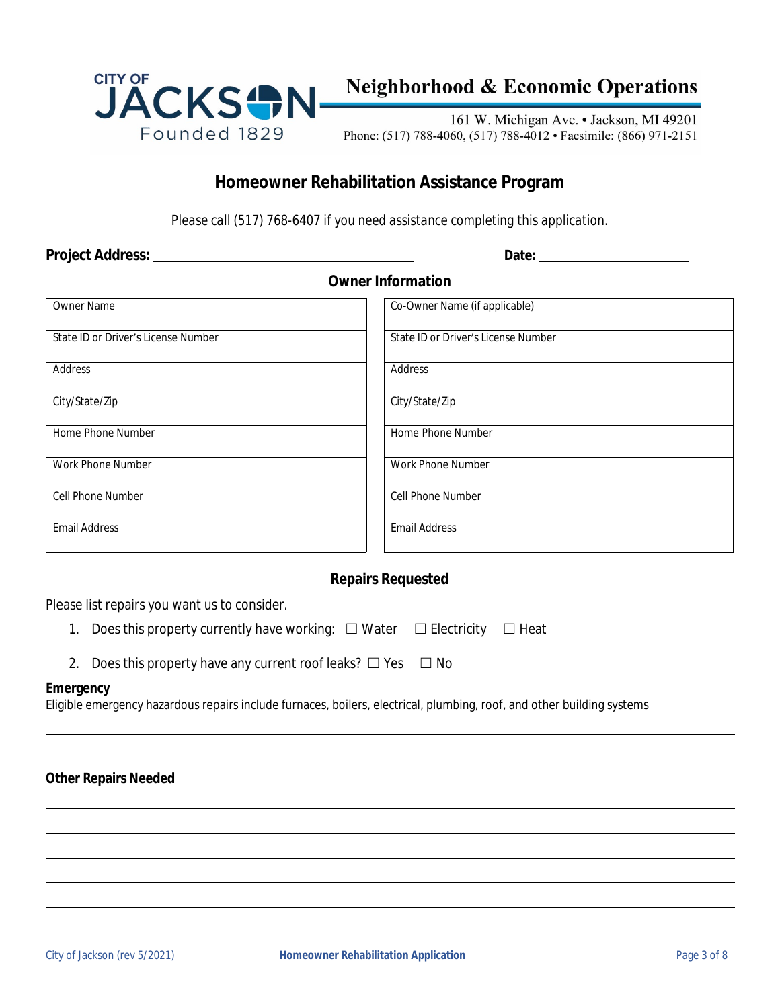

# **Neighborhood & Economic Operations**

161 W. Michigan Ave. • Jackson, MI 49201 Phone: (517) 788-4060, (517) 788-4012 • Facsimile: (866) 971-2151

### **Homeowner Rehabilitation Assistance Program**

*Please call (517) 768-6407 if you need assistance completing this application.*

**Project Address: Date:** 

#### **Owner Information**

| <b>Owner Name</b>                   | Co-Owner Name (if applicable)       |
|-------------------------------------|-------------------------------------|
| State ID or Driver's License Number | State ID or Driver's License Number |
| Address                             | Address                             |
| City/State/Zip                      | City/State/Zip                      |
| Home Phone Number                   | Home Phone Number                   |
| Work Phone Number                   | Work Phone Number                   |
| Cell Phone Number                   | Cell Phone Number                   |
| <b>Email Address</b>                | <b>Email Address</b>                |

#### **Repairs Requested**

Please list repairs you want us to consider.

- 1. Does this property currently have working: □ Water □ Electricity □ Heat
- 2. Does this property have any current roof leaks?  $\Box$  Yes  $\Box$  No

#### **Emergency**

 $\overline{a}$  $\overline{a}$ 

 $\overline{a}$  $\overline{a}$  $\overline{a}$  $\overline{a}$  $\overline{a}$ 

Eligible emergency hazardous repairs include furnaces, boilers, electrical, plumbing, roof, and other building systems

#### **Other Repairs Needed**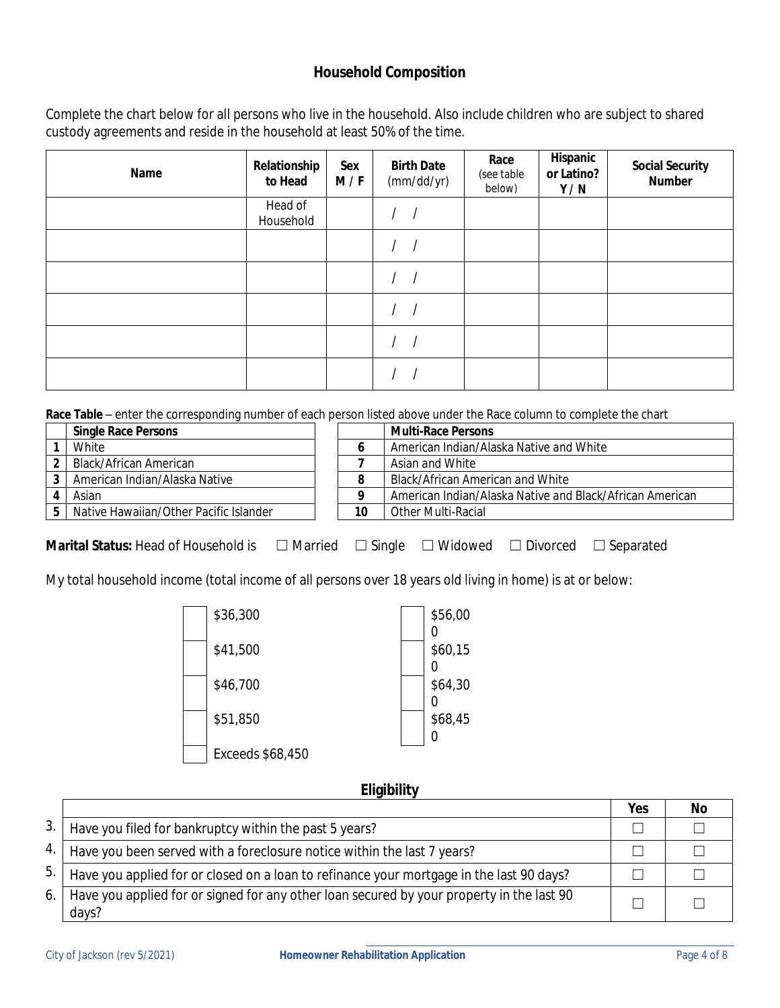#### **Household Composition**

Complete the chart below for all persons who live in the household. Also include children who are subject to shared custody agreements and reside in the household at least 50% of the time.

| Name | Relationship<br>to Head | Sex<br>M/F | <b>Birth Date</b><br>(mm/dd/yr) | Race<br>(see table<br>below) | Hispanic<br>or Latino?<br>Y/N | <b>Social Security</b><br><b>Number</b> |
|------|-------------------------|------------|---------------------------------|------------------------------|-------------------------------|-----------------------------------------|
|      | Head of<br>Household    |            |                                 |                              |                               |                                         |
|      |                         |            |                                 |                              |                               |                                         |
|      |                         |            |                                 |                              |                               |                                         |
|      |                         |            |                                 |                              |                               |                                         |
|      |                         |            |                                 |                              |                               |                                         |
|      |                         |            |                                 |                              |                               |                                         |

**Race Table** – enter the corresponding number of each person listed above under the Race column to complete the chart

| <b>Single Race Persons</b>             |    | <b>Multi-Race Persons</b>                                |
|----------------------------------------|----|----------------------------------------------------------|
| White                                  |    | American Indian/Alaska Native and White                  |
| Black/African American                 |    | Asian <i>and</i> White                                   |
| American Indian/Alaska Native          |    | Black/African American and White                         |
| Asian                                  |    | American Indian/Alaska Native and Black/African American |
| Native Hawaiian/Other Pacific Islander | 10 | Other Multi-Racial                                       |

**Marital Status:** Head of Household is  $\Box$  Married  $\Box$  Single  $\Box$  Widowed  $\Box$  Divorced  $\Box$  Separated

My total household income (total income of all persons over 18 years old living in home) is at or below:

| \$36,300         |  | \$56,00 |
|------------------|--|---------|
| \$41,500         |  | \$60,15 |
| \$46,700         |  | \$64,30 |
| \$51,850         |  | \$68,45 |
| Exceeds \$68,450 |  |         |

#### **Eligibility**

|     |                                                                                                    | Yes | No |
|-----|----------------------------------------------------------------------------------------------------|-----|----|
| 3.  | Have you filed for bankruptcy within the past 5 years?                                             |     |    |
| 4.  | Have you been served with a foreclosure notice within the last 7 years?                            |     |    |
| 5.  | Have you applied for or closed on a loan to refinance your mortgage in the last 90 days?           |     |    |
| 6.1 | Have you applied for or signed for any other loan secured by your property in the last 90<br>days? |     |    |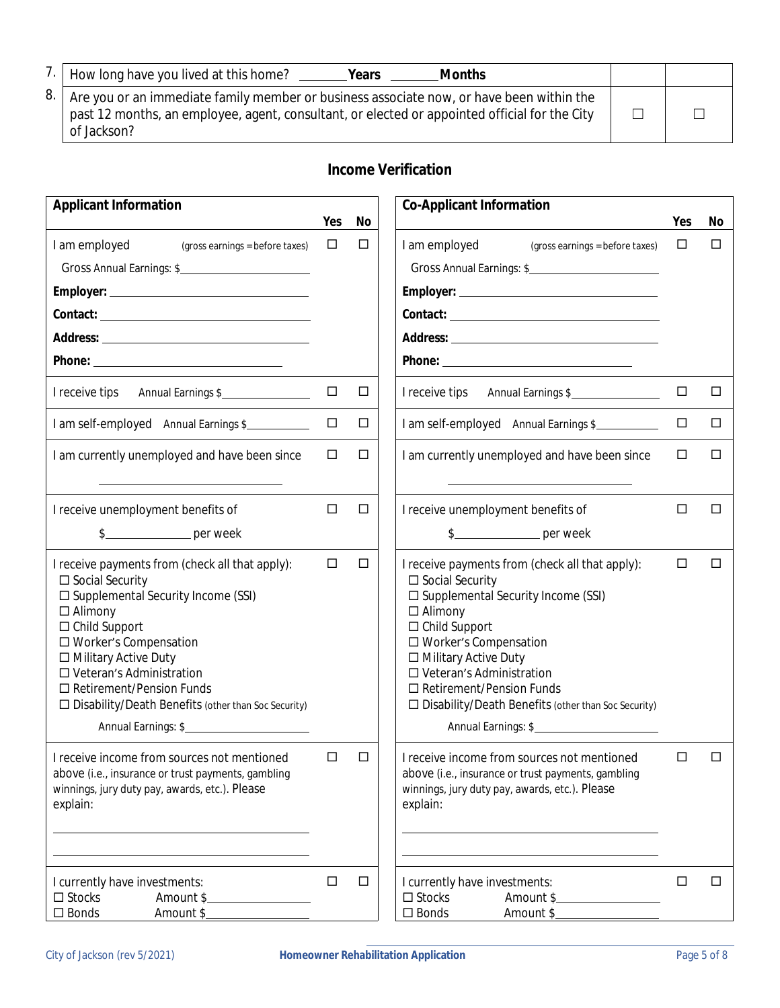|      | How long have you lived at this home?<br><b>Months</b><br>Years                                                                                                                                          |  |
|------|----------------------------------------------------------------------------------------------------------------------------------------------------------------------------------------------------------|--|
| 8. I | Are you or an immediate family member or business associate now, or have been within the<br>past 12 months, an employee, agent, consultant, or elected or appointed official for the City<br>of Jackson? |  |

## **Income Verification**

| <b>Applicant Information</b>                                                                                                                                                                                                                                                                                                                                              |        |        | <b>Co-Applicant Information</b>                                                                                                                                                                                                                                                                                                                                           |        |        |
|---------------------------------------------------------------------------------------------------------------------------------------------------------------------------------------------------------------------------------------------------------------------------------------------------------------------------------------------------------------------------|--------|--------|---------------------------------------------------------------------------------------------------------------------------------------------------------------------------------------------------------------------------------------------------------------------------------------------------------------------------------------------------------------------------|--------|--------|
|                                                                                                                                                                                                                                                                                                                                                                           | Yes    | No     |                                                                                                                                                                                                                                                                                                                                                                           | Yes    | No     |
| I am employed<br>(gross earnings = before taxes)                                                                                                                                                                                                                                                                                                                          | $\Box$ | $\Box$ | I am employed<br>(gross earnings = before taxes)                                                                                                                                                                                                                                                                                                                          | □      | $\Box$ |
| Gross Annual Earnings: \$                                                                                                                                                                                                                                                                                                                                                 |        |        | Gross Annual Earnings: \$                                                                                                                                                                                                                                                                                                                                                 |        |        |
|                                                                                                                                                                                                                                                                                                                                                                           |        |        |                                                                                                                                                                                                                                                                                                                                                                           |        |        |
|                                                                                                                                                                                                                                                                                                                                                                           |        |        |                                                                                                                                                                                                                                                                                                                                                                           |        |        |
|                                                                                                                                                                                                                                                                                                                                                                           |        |        |                                                                                                                                                                                                                                                                                                                                                                           |        |        |
|                                                                                                                                                                                                                                                                                                                                                                           |        |        |                                                                                                                                                                                                                                                                                                                                                                           |        |        |
| I receive tips Annual Earnings \$                                                                                                                                                                                                                                                                                                                                         | $\Box$ | $\Box$ | I receive tips Annual Earnings \$                                                                                                                                                                                                                                                                                                                                         | $\Box$ | $\Box$ |
| I am self-employed Annual Earnings \$                                                                                                                                                                                                                                                                                                                                     | □      | $\Box$ | I am self-employed Annual Earnings \$                                                                                                                                                                                                                                                                                                                                     | $\Box$ | $\Box$ |
| I am currently unemployed and have been since                                                                                                                                                                                                                                                                                                                             | $\Box$ | $\Box$ | I am currently unemployed and have been since                                                                                                                                                                                                                                                                                                                             | $\Box$ | $\Box$ |
| I receive unemployment benefits of                                                                                                                                                                                                                                                                                                                                        | $\Box$ | $\Box$ | I receive unemployment benefits of                                                                                                                                                                                                                                                                                                                                        | □      | □      |
| $\frac{1}{2}$ per week                                                                                                                                                                                                                                                                                                                                                    |        |        | $\frac{1}{2}$ per week                                                                                                                                                                                                                                                                                                                                                    |        |        |
| I receive payments from (check all that apply):<br>$\square$ Social Security<br>□ Supplemental Security Income (SSI)<br>$\Box$ Alimony<br>$\Box$ Child Support<br>□ Worker's Compensation<br>□ Military Active Duty<br>□ Veteran's Administration<br>$\Box$ Retirement/Pension Funds<br>$\Box$ Disability/Death Benefits (other than Soc Security)<br>Annual Earnings: \$ | $\Box$ | □      | I receive payments from (check all that apply):<br>$\square$ Social Security<br>□ Supplemental Security Income (SSI)<br>$\Box$ Alimony<br>$\Box$ Child Support<br>□ Worker's Compensation<br>□ Military Active Duty<br>$\Box$ Veteran's Administration<br>$\Box$ Retirement/Pension Funds<br>□ Disability/Death Benefits (other than Soc Security)<br>Annual Earnings: \$ | □      | □      |
| I receive income from sources not mentioned<br>above (i.e., insurance or trust payments, gambling<br>winnings, jury duty pay, awards, etc.). Please<br>explain:                                                                                                                                                                                                           | □      | □      | I receive income from sources not mentioned<br>above (i.e., insurance or trust payments, gambling<br>winnings, jury duty pay, awards, etc.). Please<br>explain:                                                                                                                                                                                                           | $\Box$ | □      |
| I currently have investments:<br>$\square$ Stocks<br>Amount \$<br>$\square$ Bonds<br>Amount \$                                                                                                                                                                                                                                                                            | $\Box$ | $\Box$ | I currently have investments:<br>$\square$ Stocks<br>Amount \$<br>$\square$ Bonds<br>Amount \$                                                                                                                                                                                                                                                                            | $\Box$ | $\Box$ |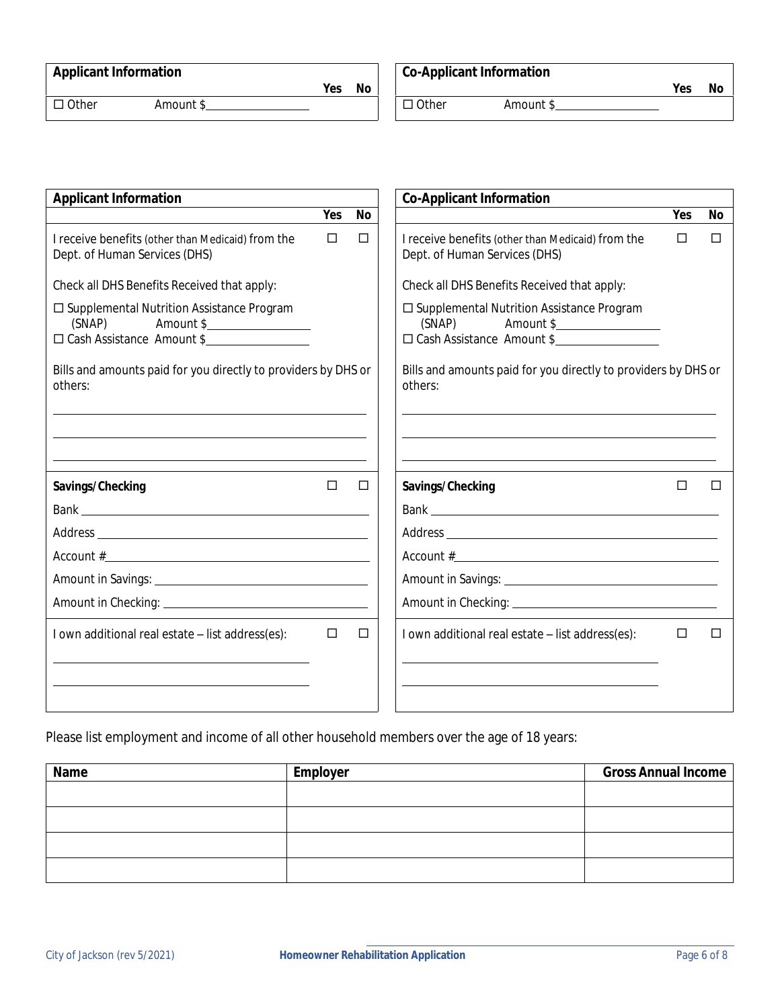|  | <b>Applicant Information</b> |
|--|------------------------------|
|--|------------------------------|

# **Applicant Information Co-Applicant Information**

¨ Other Amount \$ ¨ Other Amount \$

**Yes No Yes No**

| <b>Applicant Information</b>                                                                     |        |           | <b>Co-Applicant Information</b>                                                                  |     |           |
|--------------------------------------------------------------------------------------------------|--------|-----------|--------------------------------------------------------------------------------------------------|-----|-----------|
|                                                                                                  | Yes    | <b>No</b> |                                                                                                  | Yes | <b>No</b> |
| I receive benefits (other than Medicaid) from the<br>Dept. of Human Services (DHS)               | $\Box$ | $\Box$    | I receive benefits (other than Medicaid) from the<br>Dept. of Human Services (DHS)               | П   | П         |
| Check all DHS Benefits Received that apply:                                                      |        |           | Check all DHS Benefits Received that apply:                                                      |     |           |
| □ Supplemental Nutrition Assistance Program<br>$(SNAP)$ Amount \$<br>□ Cash Assistance Amount \$ |        |           | □ Supplemental Nutrition Assistance Program<br>$(SNAP)$ Amount \$<br>□ Cash Assistance Amount \$ |     |           |
| Bills and amounts paid for you directly to providers by DHS or<br>others:                        |        |           | Bills and amounts paid for you directly to providers by DHS or<br>others:                        |     |           |
|                                                                                                  |        |           |                                                                                                  |     |           |
| Savings/Checking                                                                                 | П      | □         | Savings/Checking                                                                                 | П   | $\Box$    |
|                                                                                                  |        |           |                                                                                                  |     |           |
|                                                                                                  |        |           |                                                                                                  |     |           |
|                                                                                                  |        |           | $Account # \_$                                                                                   |     |           |
|                                                                                                  |        |           |                                                                                                  |     |           |
|                                                                                                  |        |           |                                                                                                  |     |           |
| I own additional real estate - list address(es):                                                 | □      | $\Box$    | I own additional real estate - list address(es):                                                 | П   |           |
|                                                                                                  |        |           |                                                                                                  |     |           |

Please list employment and income of all other household members over the age of 18 years:

| Name | Employer | <b>Gross Annual Income</b> |
|------|----------|----------------------------|
|      |          |                            |
|      |          |                            |
|      |          |                            |
|      |          |                            |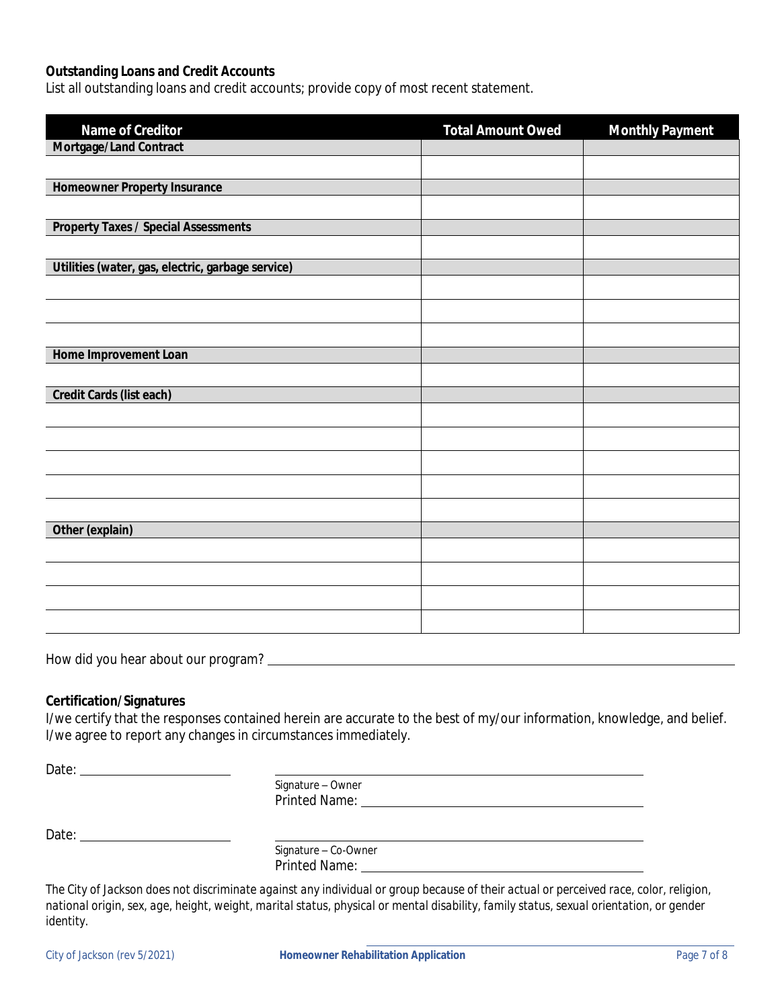#### **Outstanding Loans and Credit Accounts**

List all outstanding loans and credit accounts; provide copy of most recent statement.

| Name of Creditor                                  | <b>Total Amount Owed</b> | <b>Monthly Payment</b> |
|---------------------------------------------------|--------------------------|------------------------|
| Mortgage/Land Contract                            |                          |                        |
|                                                   |                          |                        |
| <b>Homeowner Property Insurance</b>               |                          |                        |
|                                                   |                          |                        |
| <b>Property Taxes / Special Assessments</b>       |                          |                        |
|                                                   |                          |                        |
| Utilities (water, gas, electric, garbage service) |                          |                        |
|                                                   |                          |                        |
|                                                   |                          |                        |
|                                                   |                          |                        |
| Home Improvement Loan                             |                          |                        |
|                                                   |                          |                        |
| Credit Cards (list each)                          |                          |                        |
|                                                   |                          |                        |
|                                                   |                          |                        |
|                                                   |                          |                        |
|                                                   |                          |                        |
|                                                   |                          |                        |
| Other (explain)                                   |                          |                        |
|                                                   |                          |                        |
|                                                   |                          |                        |
|                                                   |                          |                        |
|                                                   |                          |                        |

How did you hear about our program?

#### **Certification/Signatures**

I/we certify that the responses contained herein are accurate to the best of my/our information, knowledge, and belief. I/we agree to report any changes in circumstances immediately.

Date:

Signature – Owner Printed Name:

Date:

Signature – Co-Owner Printed Name:

*The City of Jackson does not discriminate against any individual or group because of their actual or perceived race, color, religion, national origin, sex, age, height, weight, marital status, physical or mental disability, family status, sexual orientation, or gender identity.*